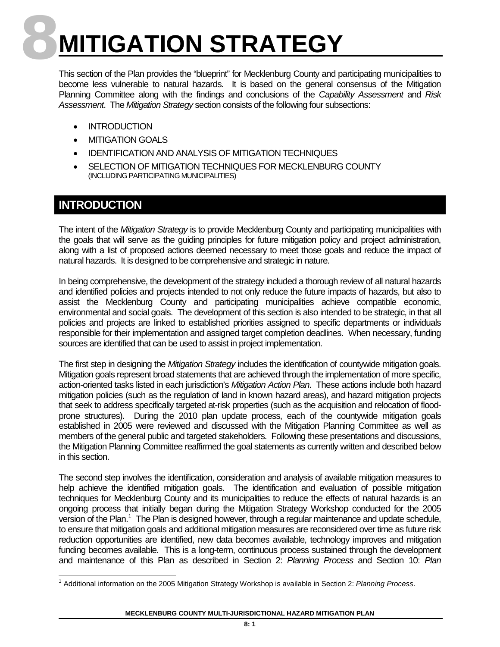# **8MITIGATION STRATEGY**

This section of the Plan provides the "blueprint" for Mecklenburg County and participating municipalities to become less vulnerable to natural hazards. It is based on the general consensus of the Mitigation Planning Committee along with the findings and conclusions of the *Capability Assessment* and *Risk Assessment*. The *Mitigation Strategy* section consists of the following four subsections:

- INTRODUCTION
- MITIGATION GOALS
- IDENTIFICATION AND ANALYSIS OF MITIGATION TECHNIQUES
- SELECTION OF MITIGATION TECHNIQUES FOR MECKLENBURG COUNTY (INCLUDING PARTICIPATING MUNICIPALITIES)

# **INTRODUCTION**

The intent of the *Mitigation Strategy* is to provide Mecklenburg County and participating municipalities with the goals that will serve as the guiding principles for future mitigation policy and project administration, along with a list of proposed actions deemed necessary to meet those goals and reduce the impact of natural hazards. It is designed to be comprehensive and strategic in nature.

In being comprehensive, the development of the strategy included a thorough review of all natural hazards and identified policies and projects intended to not only reduce the future impacts of hazards, but also to assist the Mecklenburg County and participating municipalities achieve compatible economic, environmental and social goals. The development of this section is also intended to be strategic, in that all policies and projects are linked to established priorities assigned to specific departments or individuals responsible for their implementation and assigned target completion deadlines. When necessary, funding sources are identified that can be used to assist in project implementation.

The first step in designing the *Mitigation Strategy* includes the identification of countywide mitigation goals. Mitigation goals represent broad statements that are achieved through the implementation of more specific, action-oriented tasks listed in each jurisdiction's *Mitigation Action Plan*. These actions include both hazard mitigation policies (such as the regulation of land in known hazard areas), and hazard mitigation projects that seek to address specifically targeted at-risk properties (such as the acquisition and relocation of floodprone structures). During the 2010 plan update process, each of the countywide mitigation goals established in 2005 were reviewed and discussed with the Mitigation Planning Committee as well as members of the general public and targeted stakeholders. Following these presentations and discussions, the Mitigation Planning Committee reaffirmed the goal statements as currently written and described below in this section.

The second step involves the identification, consideration and analysis of available mitigation measures to help achieve the identified mitigation goals. The identification and evaluation of possible mitigation techniques for Mecklenburg County and its municipalities to reduce the effects of natural hazards is an ongoing process that initially began during the Mitigation Strategy Workshop conducted for the 2005 version of the Plan.<sup>1</sup> The Plan is designed however, through a regular maintenance and update schedule, to ensure that mitigation goals and additional mitigation measures are reconsidered over time as future risk reduction opportunities are identified, new data becomes available, technology improves and mitigation funding becomes available. This is a long-term, continuous process sustained through the development and maintenance of this Plan as described in Section 2: *Planning Process* and Section 10: *Plan* 

<span id="page-0-0"></span><sup>1</sup> Additional information on the 2005 Mitigation Strategy Workshop is available in Section 2: *Planning Process*.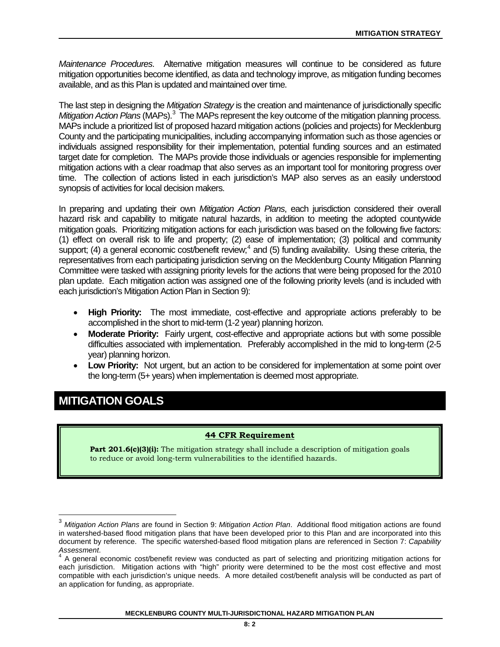*Maintenance Procedures*. Alternative mitigation measures will continue to be considered as future mitigation opportunities become identified, as data and technology improve, as mitigation funding becomes available, and as this Plan is updated and maintained over time.

The last step in designing the *Mitigation Strategy* is the creation and maintenance of jurisdictionally specific Mitigation Action Plans (MAPs).<sup>[3](#page-1-0)</sup> The MAPs represent the key outcome of the mitigation planning process. MAPs include a prioritized list of proposed hazard mitigation actions (policies and projects) for Mecklenburg County and the participating municipalities, including accompanying information such as those agencies or individuals assigned responsibility for their implementation, potential funding sources and an estimated target date for completion. The MAPs provide those individuals or agencies responsible for implementing mitigation actions with a clear roadmap that also serves as an important tool for monitoring progress over time. The collection of actions listed in each jurisdiction's MAP also serves as an easily understood synopsis of activities for local decision makers.

In preparing and updating their own *Mitigation Action Plans*, each jurisdiction considered their overall hazard risk and capability to mitigate natural hazards, in addition to meeting the adopted countywide mitigation goals. Prioritizing mitigation actions for each jurisdiction was based on the following five factors: (1) effect on overall risk to life and property; (2) ease of implementation; (3) political and community support; ([4](#page-1-1)) a general economic cost/benefit review;<sup>4</sup> and (5) funding availability. Using these criteria, the representatives from each participating jurisdiction serving on the Mecklenburg County Mitigation Planning Committee were tasked with assigning priority levels for the actions that were being proposed for the 2010 plan update. Each mitigation action was assigned one of the following priority levels (and is included with each jurisdiction's Mitigation Action Plan in Section 9):

- **High Priority:** The most immediate, cost-effective and appropriate actions preferably to be accomplished in the short to mid-term (1-2 year) planning horizon.
- **Moderate Priority:** Fairly urgent, cost-effective and appropriate actions but with some possible difficulties associated with implementation. Preferably accomplished in the mid to long-term (2-5 year) planning horizon.
- **Low Priority:** Not urgent, but an action to be considered for implementation at some point over the long-term (5+ years) when implementation is deemed most appropriate.

# **MITIGATION GOALS**

# **44 CFR Requirement**

**Part 201.6(c)(3)(i):** The mitigation strategy shall include a description of mitigation goals to reduce or avoid long-term vulnerabilities to the identified hazards.

<span id="page-1-0"></span><sup>3</sup> *Mitigation Action Plans* are found in Section 9: *Mitigation Action Plan*. Additional flood mitigation actions are found in watershed-based flood mitigation plans that have been developed prior to this Plan and are incorporated into this document by reference. The specific watershed-based flood mitigation plans are referenced in Section 7: *Capability Assessment*. <sup>4</sup> A general economic cost/benefit review was conducted as part of selecting and prioritizing mitigation actions for

<span id="page-1-1"></span>each jurisdiction. Mitigation actions with "high" priority were determined to be the most cost effective and most compatible with each jurisdiction's unique needs. A more detailed cost/benefit analysis will be conducted as part of an application for funding, as appropriate.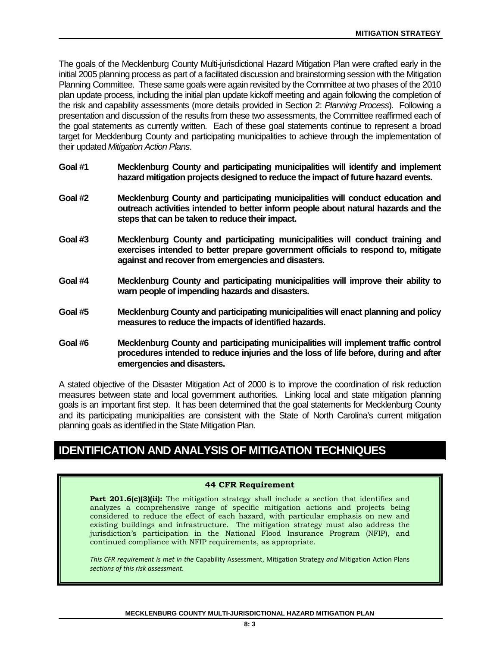The goals of the Mecklenburg County Multi-jurisdictional Hazard Mitigation Plan were crafted early in the initial 2005 planning process as part of a facilitated discussion and brainstorming session with the Mitigation Planning Committee. These same goals were again revisited by the Committee at two phases of the 2010 plan update process, including the initial plan update kickoff meeting and again following the completion of the risk and capability assessments (more details provided in Section 2: *Planning Process*). Following a presentation and discussion of the results from these two assessments, the Committee reaffirmed each of the goal statements as currently written. Each of these goal statements continue to represent a broad target for Mecklenburg County and participating municipalities to achieve through the implementation of their updated *Mitigation Action Plans*.

- **Goal #1 Mecklenburg County and participating municipalities will identify and implement hazard mitigation projects designed to reduce the impact of future hazard events.**
- **Goal #2 Mecklenburg County and participating municipalities will conduct education and outreach activities intended to better inform people about natural hazards and the steps that can be taken to reduce their impact.**
- **Goal #3 Mecklenburg County and participating municipalities will conduct training and exercises intended to better prepare government officials to respond to, mitigate against and recover from emergencies and disasters.**
- **Goal #4 Mecklenburg County and participating municipalities will improve their ability to warn people of impending hazards and disasters.**
- **Goal #5 Mecklenburg County and participating municipalities will enact planning and policy measures to reduce the impacts of identified hazards.**
- **Goal #6 Mecklenburg County and participating municipalities will implement traffic control procedures intended to reduce injuries and the loss of life before, during and after emergencies and disasters.**

A stated objective of the Disaster Mitigation Act of 2000 is to improve the coordination of risk reduction measures between state and local government authorities. Linking local and state mitigation planning goals is an important first step. It has been determined that the goal statements for Mecklenburg County and its participating municipalities are consistent with the State of North Carolina's current mitigation planning goals as identified in the State Mitigation Plan.

# **IDENTIFICATION AND ANALYSIS OF MITIGATION TECHNIQUES**

# **44 CFR Requirement**

**Part 201.6(c)(3)(ii):** The mitigation strategy shall include a section that identifies and analyzes a comprehensive range of specific mitigation actions and projects being considered to reduce the effect of each hazard, with particular emphasis on new and existing buildings and infrastructure. The mitigation strategy must also address the jurisdiction's participation in the National Flood Insurance Program (NFIP), and continued compliance with NFIP requirements, as appropriate.

*This CFR requirement is met in the* Capability Assessment, Mitigation Strategy *and* Mitigation Action Plans *sections of this risk assessment.*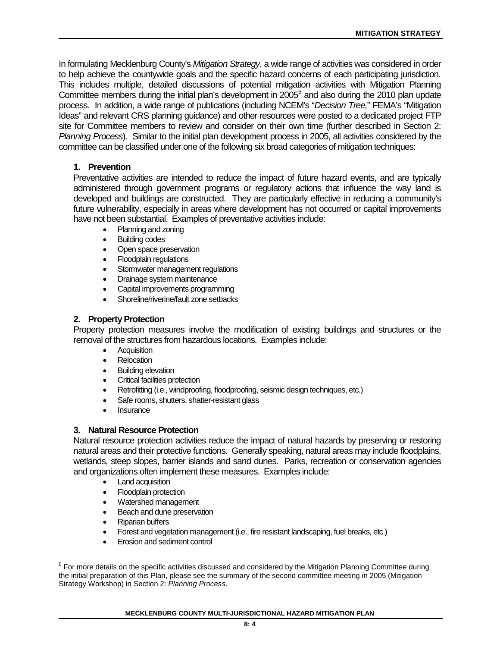<span id="page-3-0"></span>In formulating Mecklenburg County's *Mitigation Strategy*, a wide range of activities was considered in order to help achieve the countywide goals and the specific hazard concerns of each participating jurisdiction[.](#page-3-0)  This includes multiple, detailed discussions of potential mitigation activities with Mitigation Planning Committee members during the initial plan's development in  $2005^6$  and also during the  $2010$  plan update process. In addition, a wide range of publications (including NCEM's "*Decision Tree,*" FEMA's "Mitigation Ideas" and relevant CRS planning guidance) and other resources were posted to a dedicated project FTP site for Committee members to review and consider on their own time (further described in Section 2: *Planning Process*). Similar to the initial plan development process in 2005, all activities considered by the committee can be classified under one of the following six broad categories of mitigation techniques:

# **1. Prevention**

Preventative activities are intended to reduce the impact of future hazard events, and are typically administered through government programs or regulatory actions that influence the way land is developed and buildings are constructed. They are particularly effective in reducing a community's future vulnerability, especially in areas where development has not occurred or capital improvements have not been substantial. Examples of preventative activities include:

- Planning and zoning
- Building codes
- Open space preservation
- Floodplain regulations
- Stormwater management regulations
- Drainage system maintenance
- Capital improvements programming
- Shoreline/riverine/fault zone setbacks

# **2. Property Protection**

Property protection measures involve the modification of existing buildings and structures or the removal of the structures from hazardous locations. Examples include:

- Acquisition
- Relocation
- Building elevation
- Critical facilities protection
- Retrofitting (i.e., windproofing, floodproofing, seismic design techniques, etc.)
- Safe rooms, shutters, shatter-resistant glass
- **Insurance**

# **3. Natural Resource Protection**

Natural resource protection activities reduce the impact of natural hazards by preserving or restoring natural areas and their protective functions. Generally speaking, natural areas may include floodplains, wetlands, steep slopes, barrier islands and sand dunes. Parks, recreation or conservation agencies and organizations often implement these measures. Examples include:

- Land acquisition
- Floodplain protection
- Watershed management
- Beach and dune preservation
- Riparian buffers
- Forest and vegetation management (i.e., fire resistant landscaping, fuel breaks, etc.)
- Erosion and sediment control

#### **MECKLENBURG COUNTY MULTI-JURISDICTIONAL HAZARD MITIGATION PLAN**

<span id="page-3-1"></span> $6$  For more details on the specific activities discussed and considered by the Mitigation Planning Committee during the initial preparation of this Plan, please see the summary of the second committee meeting in 2005 (Mitigation Strategy Workshop) in Section 2: *Planning Process*.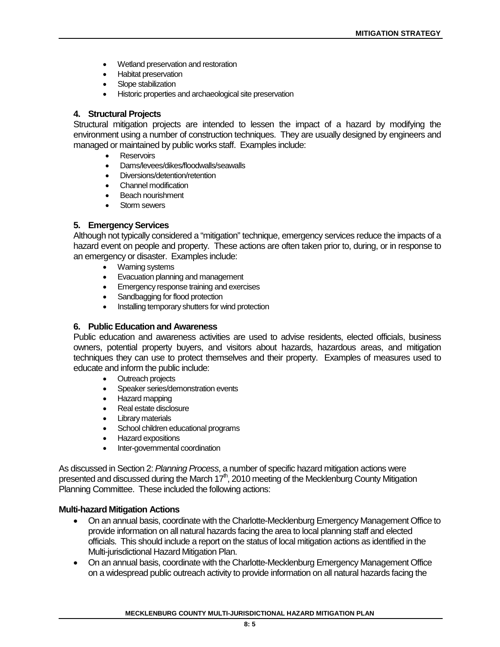- Wetland preservation and restoration
- Habitat preservation
- Slope stabilization
- Historic properties and archaeological site preservation

# **4. Structural Projects**

Structural mitigation projects are intended to lessen the impact of a hazard by modifying the environment using a number of construction techniques. They are usually designed by engineers and managed or maintained by public works staff. Examples include:

- Reservoirs
- Dams/levees/dikes/floodwalls/seawalls
- Diversions/detention/retention
- Channel modification
- Beach nourishment
- Storm sewers

# **5. Emergency Services**

Although not typically considered a "mitigation" technique, emergency services reduce the impacts of a hazard event on people and property. These actions are often taken prior to, during, or in response to an emergency or disaster. Examples include:

- Warning systems
- Evacuation planning and management
- Emergency response training and exercises
- Sandbagging for flood protection<br>• Installing temporary shutters for w
- Installing temporary shutters for wind protection

# **6. Public Education and Awareness**

Public education and awareness activities are used to advise residents, elected officials, business owners, potential property buyers, and visitors about hazards, hazardous areas, and mitigation techniques they can use to protect themselves and their property. Examples of measures used to educate and inform the public include:

- Outreach projects
- Speaker series/demonstration events
- Hazard mapping
- Real estate disclosure
- Library materials
- School children educational programs
- Hazard expositions
- Inter-governmental coordination

As discussed in Section 2: *Planning Process*, a number of specific hazard mitigation actions were presented and discussed during the March  $17<sup>th</sup>$ , 2010 meeting of the Mecklenburg County Mitigation Planning Committee. These included the following actions:

# **Multi-hazard Mitigation Actions**

- On an annual basis, coordinate with the Charlotte-Mecklenburg Emergency Management Office to provide information on all natural hazards facing the area to local planning staff and elected officials. This should include a report on the status of local mitigation actions as identified in the Multi-jurisdictional Hazard Mitigation Plan.
- On an annual basis, coordinate with the Charlotte-Mecklenburg Emergency Management Office on a widespread public outreach activity to provide information on all natural hazards facing the